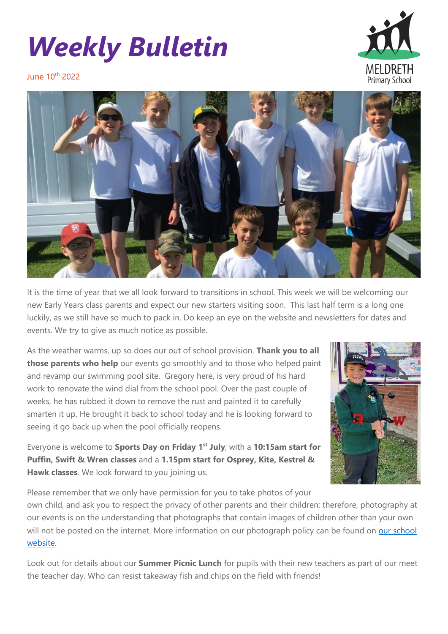# *Weekly Bulletin*



June 10th 2022



It is the time of year that we all look forward to transitions in school. This week we will be welcoming our new Early Years class parents and expect our new starters visiting soon. This last half term is a long one luckily, as we still have so much to pack in. Do keep an eye on the website and newsletters for dates and events. We try to give as much notice as possible.

As the weather warms, up so does our out of school provision. **Thank you to all those parents who help** our events go smoothly and to those who helped paint and revamp our swimming pool site. Gregory here, is very proud of his hard work to renovate the wind dial from the school pool. Over the past couple of weeks, he has rubbed it down to remove the rust and painted it to carefully smarten it up. He brought it back to school today and he is looking forward to seeing it go back up when the pool officially reopens.



Everyone is welcome to **Sports Day on Friday 1 st July**; with a **10:15am start for Puffin, Swift & Wren classes** and a **1.15pm start for Osprey, Kite, Kestrel & Hawk classes**. We look forward to you joining us.

Please remember that we only have permission for you to take photos of your own child, and ask you to respect the privacy of other parents and their children; therefore, photography at our events is on the understanding that photographs that contain images of children other than your own will not be posted on the internet. More information on our photograph policy can be found on our school [website.](https://meldreth.eschools.co.uk/web/guidance_on_photography/578226)

Look out for details about our **Summer Picnic Lunch** for pupils with their new teachers as part of our meet the teacher day. Who can resist takeaway fish and chips on the field with friends!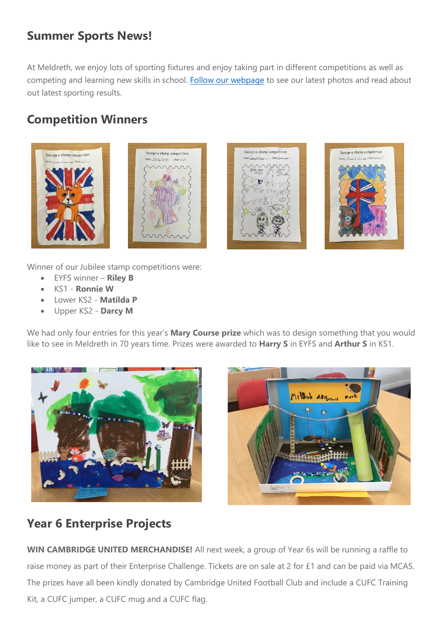#### **Summer Sports News!**

At Meldreth, we enjoy lots of sporting fixtures and enjoy taking part in different competitions as well as competing and learning new skills in school. [Follow our webpage](https://meldreth.eschools.co.uk/web/summer_sports_news_-_watch_this_space/611208) to see our latest photos and read about out latest sporting results.

## **Competition Winners**









Winner of our Jubilee stamp competitions were:

- EYFS winner **Riley B**
- KS1 **Ronnie W**
- Lower KS2 **Matilda P**
- Upper KS2 **Darcy M**

We had only four entries for this year's **Mary Course prize** which was to design something that you would like to see in Meldreth in 70 years time. Prizes were awarded to **Harry S** in EYFS and **Arthur S** in KS1.





# **Year 6 Enterprise Projects**

**WIN CAMBRIDGE UNITED MERCHANDISE!** All next week, a group of Year 6s will be running a raffle to raise money as part of their Enterprise Challenge. Tickets are on sale at 2 for £1 and can be paid via MCAS. The prizes have all been kindly donated by Cambridge United Football Club and include a CUFC Training Kit, a CUFC jumper, a CUFC mug and a CUFC flag.